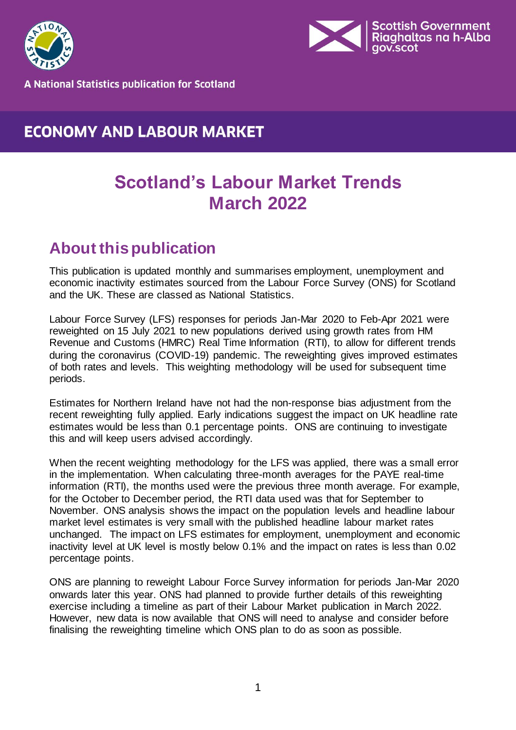



**A National Statistics publication for Scotland** 

## **ECONOMY AND LABOUR MARKET**

## **Scotland's Labour Market Trends March 2022**

## <span id="page-0-0"></span>**About this publication**

This publication is updated monthly and summarises employment, unemployment and economic inactivity estimates sourced from the Labour Force Survey (ONS) for Scotland and the UK. These are classed as National Statistics.

Labour Force Survey (LFS) responses for periods Jan-Mar 2020 to Feb-Apr 2021 were reweighted on 15 July 2021 to new populations derived using growth rates from HM Revenue and Customs (HMRC) Real Time Information (RTI), to allow for different trends during the coronavirus (COVID-19) pandemic. The reweighting gives improved estimates of both rates and levels. This weighting methodology will be used for subsequent time periods.

Estimates for Northern Ireland have not had the non-response bias adjustment from the recent reweighting fully applied. Early indications suggest the impact on UK headline rate estimates would be less than 0.1 percentage points. ONS are continuing to investigate this and will keep users advised accordingly.

When the recent weighting methodology for the LFS was applied, there was a small error in the implementation. When calculating three-month averages for the PAYE real-time information (RTI), the months used were the previous three month average. For example, for the October to December period, the RTI data used was that for September to November. ONS analysis shows the impact on the population levels and headline labour market level estimates is very small with the published headline labour market rates unchanged. The impact on LFS estimates for employment, unemployment and economic inactivity level at UK level is mostly below 0.1% and the impact on rates is less than 0.02 percentage points.

ONS are planning to reweight Labour Force Survey information for periods Jan-Mar 2020 onwards later this year. ONS had planned to provide further details of this reweighting exercise including a timeline as part of their Labour Market publication in March 2022. However, new data is now available that ONS will need to analyse and consider before finalising the reweighting timeline which ONS plan to do as soon as possible.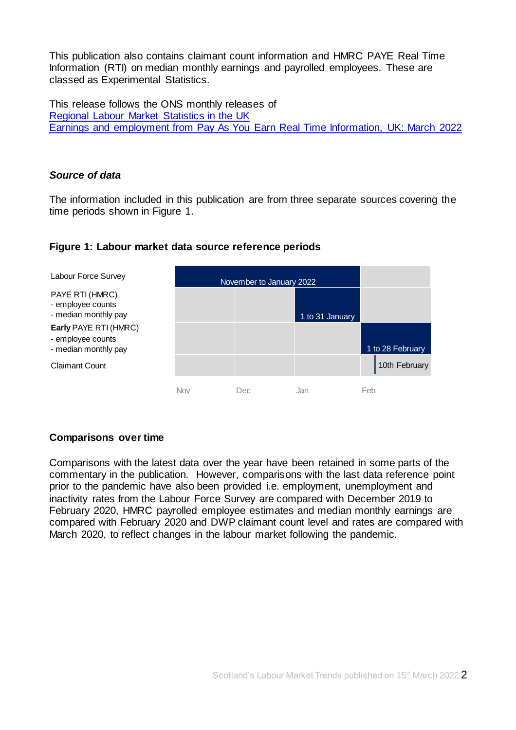This publication also contains claimant count information and HMRC PAYE Real Time Information (RTI) on median monthly earnings and payrolled employees. These are classed as Experimental Statistics.

This release follows the ONS monthly releases of [Regional Labour Market Statistics in the UK](https://www.ons.gov.uk/employmentandlabourmarket/peopleinwork/employmentandemployeetypes/bulletins/regionallabourmarket/previousReleases)  [Earnings and employment from Pay As You Earn Real Time Information, UK: March](https://www.ons.gov.uk/employmentandlabourmarket/peopleinwork/earningsandworkinghours/bulletins/earningsandemploymentfrompayasyouearnrealtimeinformationuk/previousReleases) 2022

#### *Source of data*

The information included in this publication are from three separate sources covering the time periods shown in Figure 1.



#### **Figure 1: Labour market data source reference periods**

#### **Comparisons over time**

Comparisons with the latest data over the year have been retained in some parts of the commentary in the publication. However, comparisons with the last data reference point prior to the pandemic have also been provided i.e. employment, unemployment and inactivity rates from the Labour Force Survey are compared with December 2019 to February 2020, HMRC payrolled employee estimates and median monthly earnings are compared with February 2020 and DWP claimant count level and rates are compared with March 2020, to reflect changes in the labour market following the pandemic.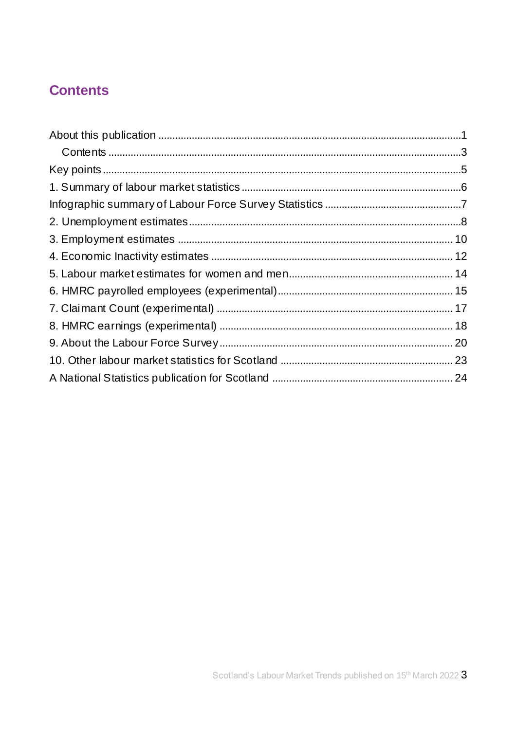## <span id="page-2-0"></span>**Contents**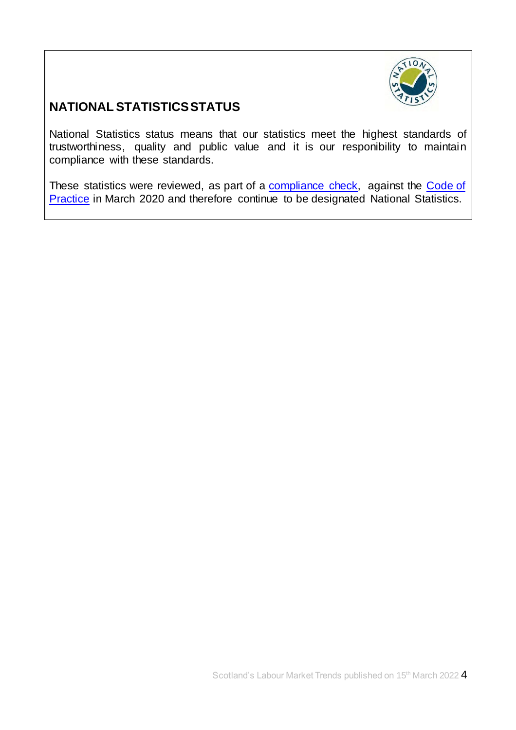

## **NATIONAL STATISTICS STATUS**

National Statistics status means that our statistics meet the highest standards of trustworthiness, quality and public value and it is our responibility to maintain compliance with these standards.

These statistics were reviewed, as part of a [compliance check,](https://www.statisticsauthority.gov.uk/correspondence/devolved-labour-market-compliance-check/) against the Code of [Practice](https://www.statisticsauthority.gov.uk/code-of-practice/) in March 2020 and therefore continue to be designated National Statistics.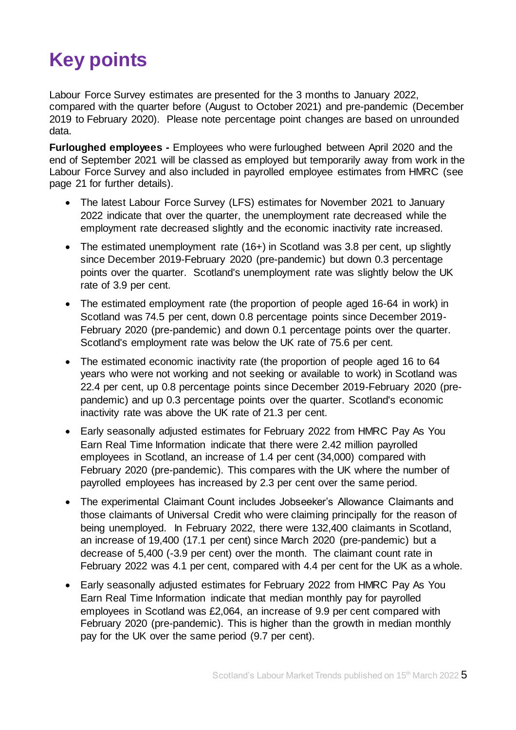# <span id="page-4-0"></span>**Key points**

Labour Force Survey estimates are presented for the 3 months to January 2022, compared with the quarter before (August to October 2021) and pre-pandemic (December 2019 to February 2020). Please note percentage point changes are based on unrounded data.

**Furloughed employees -** Employees who were furloughed between April 2020 and the end of September 2021 will be classed as employed but temporarily away from work in the Labour Force Survey and also included in payrolled employee estimates from HMRC (see page 21 for further details).

- The latest Labour Force Survey (LFS) estimates for November 2021 to January 2022 indicate that over the quarter, the unemployment rate decreased while the employment rate decreased slightly and the economic inactivity rate increased.
- The estimated unemployment rate (16+) in Scotland was 3.8 per cent, up slightly since December 2019-February 2020 (pre-pandemic) but down 0.3 percentage points over the quarter. Scotland's unemployment rate was slightly below the UK rate of 3.9 per cent.
- The estimated employment rate (the proportion of people aged 16-64 in work) in Scotland was 74.5 per cent, down 0.8 percentage points since December 2019- February 2020 (pre-pandemic) and down 0.1 percentage points over the quarter. Scotland's employment rate was below the UK rate of 75.6 per cent.
- The estimated economic inactivity rate (the proportion of people aged 16 to 64 years who were not working and not seeking or available to work) in Scotland was 22.4 per cent, up 0.8 percentage points since December 2019-February 2020 (prepandemic) and up 0.3 percentage points over the quarter. Scotland's economic inactivity rate was above the UK rate of 21.3 per cent.
- Early seasonally adjusted estimates for February 2022 from HMRC Pay As You Earn Real Time Information indicate that there were 2.42 million payrolled employees in Scotland, an increase of 1.4 per cent (34,000) compared with February 2020 (pre-pandemic). This compares with the UK where the number of payrolled employees has increased by 2.3 per cent over the same period.
- The experimental Claimant Count includes Jobseeker's Allowance Claimants and those claimants of Universal Credit who were claiming principally for the reason of being unemployed. In February 2022, there were 132,400 claimants in Scotland, an increase of 19,400 (17.1 per cent) since March 2020 (pre-pandemic) but a decrease of 5,400 (-3.9 per cent) over the month. The claimant count rate in February 2022 was 4.1 per cent, compared with 4.4 per cent for the UK as a whole.
- <span id="page-4-1"></span> Early seasonally adjusted estimates for February 2022 from HMRC Pay As You Earn Real Time Information indicate that median monthly pay for payrolled employees in Scotland was £2,064, an increase of 9.9 per cent compared with February 2020 (pre-pandemic). This is higher than the growth in median monthly pay for the UK over the same period (9.7 per cent).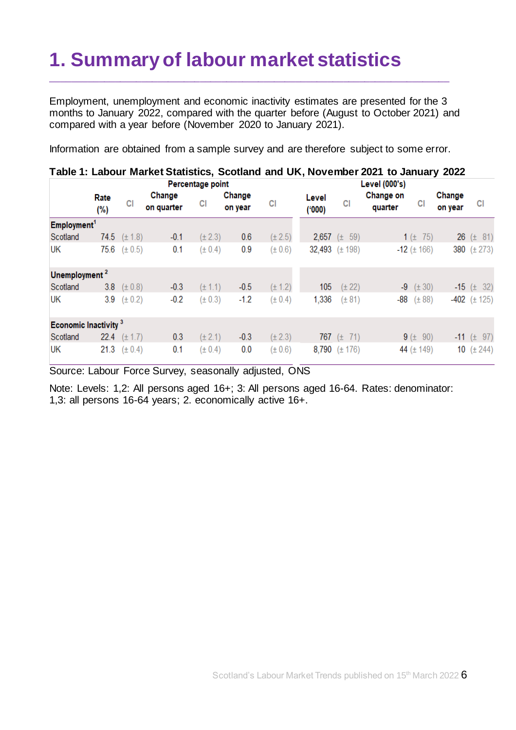# **1. Summary of labour market statistics**

Employment, unemployment and economic inactivity estimates are presented for the 3 months to January 2022, compared with the quarter before (August to October 2021) and compared with a year before (November 2020 to January 2021).

\_\_\_\_\_\_\_\_\_\_\_\_\_\_\_\_\_\_\_\_\_\_\_\_\_\_\_\_\_\_\_\_\_\_\_\_\_\_\_\_\_\_\_\_\_\_\_\_\_\_\_\_\_\_\_\_\_\_\_\_\_\_\_\_\_\_\_\_\_\_\_\_\_\_\_

Information are obtained from a sample survey and are therefore subject to some error.

|                                  | able 1. Labour Market Statistics, Scotlarid and UK, November 2021 to January 2022<br>Percentage point |                  |                      |             |                   | Level (000's) |                |                    |                      |                    |                   |                       |
|----------------------------------|-------------------------------------------------------------------------------------------------------|------------------|----------------------|-------------|-------------------|---------------|----------------|--------------------|----------------------|--------------------|-------------------|-----------------------|
|                                  | Rate<br>(%)                                                                                           | <b>CI</b>        | Change<br>on quarter | CI          | Change<br>on year | CI            | Level<br>(000) | СI                 | Change on<br>quarter | CI                 | Change<br>on year | СI                    |
| Employment <sup>1</sup>          |                                                                                                       |                  |                      |             |                   |               |                |                    |                      |                    |                   |                       |
| Scotland                         |                                                                                                       | 74.5 $(\pm 1.8)$ | $-0.1$               | $(\pm 2.3)$ | 0.6               | $(\pm 2.5)$   |                | 2,657 $(\pm 59)$   |                      | 1 ( $\pm$ 75)      |                   | <b>26</b> ( $\pm$ 81) |
| UK                               |                                                                                                       | 75.6 $(\pm 0.5)$ | 0.1                  | $(\pm 0.4)$ | 0.9               | $(\pm 0.6)$   |                | 32,493 $(\pm 198)$ |                      | $-12$ ( $\pm$ 166) |                   | 380 $(\pm 273)$       |
| Unemployment <sup>2</sup>        |                                                                                                       |                  |                      |             |                   |               |                |                    |                      |                    |                   |                       |
| Scotland                         | 3.8                                                                                                   | $(\pm 0.8)$      | $-0.3$               | $(\pm 1.1)$ | $-0.5$            | $(\pm 1.2)$   | 105            | $(\pm 22)$         |                      | $-9$ ( $\pm$ 30)   |                   | $-15$ ( $\pm$ 32)     |
| UΚ                               | 3.9                                                                                                   | $(\pm 0.2)$      | $-0.2$               | $(\pm 0.3)$ | $-1.2$            | $(\pm 0.4)$   | 1,336          | $(\pm 81)$         | -88                  | $(\pm 88)$         |                   | $-402$ ( $\pm$ 125)   |
| Economic Inactivity <sup>3</sup> |                                                                                                       |                  |                      |             |                   |               |                |                    |                      |                    |                   |                       |
| Scotland                         |                                                                                                       | 22.4 $(\pm 1.7)$ | 0.3                  | $(\pm 2.1)$ | $-0.3$            | $(\pm 2.3)$   |                | 767 $(\pm 71)$     |                      | $9 (+ 90)$         |                   | $-11$ ( $\pm$ 97)     |
| UK                               |                                                                                                       | 21.3 $(\pm 0.4)$ | 0.1                  | $(\pm 0.4)$ | 0.0               | (± 0.6)       |                | 8,790 $(\pm 176)$  |                      | 44 $(\pm 149)$     | 10                | $(\pm 244)$           |

**Table 1: Labour Market Statistics, Scotland and UK, November 2021 to January 2022**

Source: Labour Force Survey, seasonally adjusted, ONS

Note: Levels: 1,2: All persons aged 16+; 3: All persons aged 16-64. Rates: denominator: 1,3: all persons 16-64 years; 2. economically active 16+.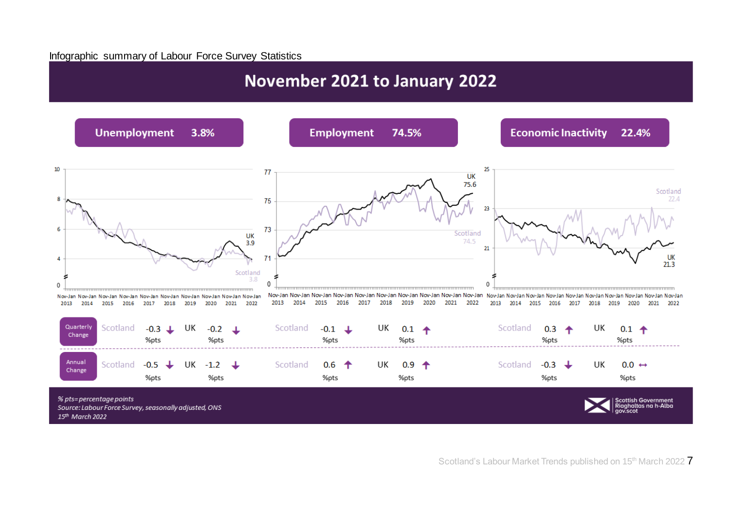#### Infographic summary of Labour Force Survey Statistics

## November 2021 to January 2022

<span id="page-6-0"></span>

Scotland's Labour Market Trends published on 15<sup>th</sup> March 2022 7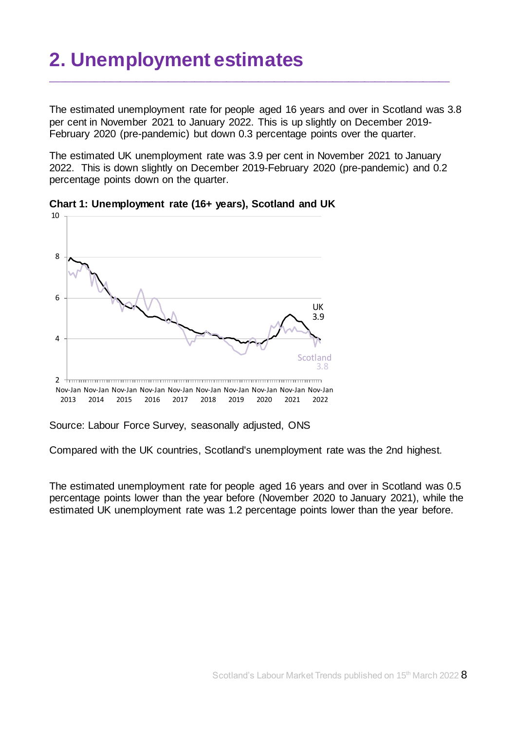# <span id="page-7-0"></span>**2. Unemployment estimates**

The estimated unemployment rate for people aged 16 years and over in Scotland was 3.8 per cent in November 2021 to January 2022. This is up slightly on December 2019- February 2020 (pre-pandemic) but down 0.3 percentage points over the quarter.

\_\_\_\_\_\_\_\_\_\_\_\_\_\_\_\_\_\_\_\_\_\_\_\_\_\_\_\_\_\_\_\_\_\_\_\_\_\_\_\_\_\_\_\_\_\_\_\_\_\_\_\_\_\_\_\_\_\_\_\_\_\_\_\_\_\_\_\_\_\_\_\_\_\_\_

The estimated UK unemployment rate was 3.9 per cent in November 2021 to January 2022. This is down slightly on December 2019-February 2020 (pre-pandemic) and 0.2 percentage points down on the quarter.



**Chart 1: Unemployment rate (16+ years), Scotland and UK**

Source: Labour Force Survey, seasonally adjusted, ONS

Compared with the UK countries, Scotland's unemployment rate was the 2nd highest.

The estimated unemployment rate for people aged 16 years and over in Scotland was 0.5 percentage points lower than the year before (November 2020 to January 2021), while the estimated UK unemployment rate was 1.2 percentage points lower than the year before.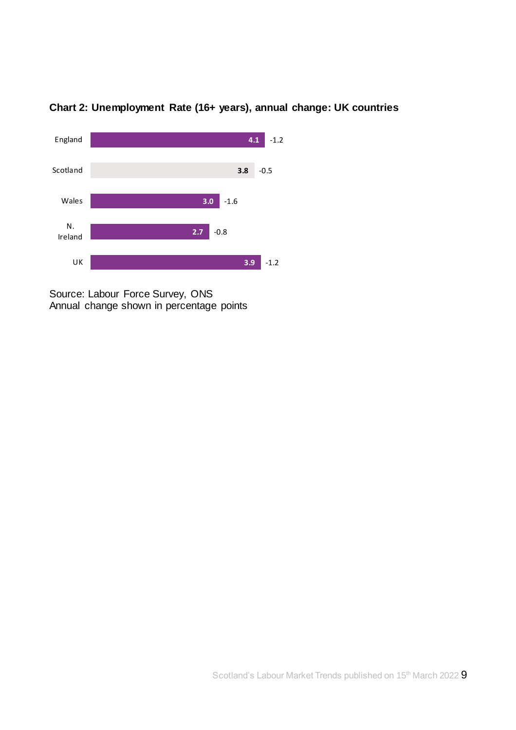

### **Chart 2: Unemployment Rate (16+ years), annual change: UK countries**

Source: Labour Force Survey, ONS Annual change shown in percentage points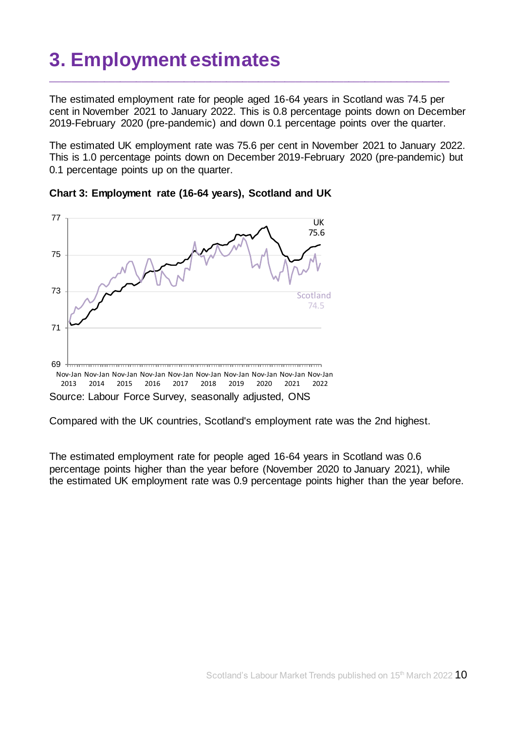# <span id="page-9-0"></span>**3. Employment estimates**

The estimated employment rate for people aged 16-64 years in Scotland was 74.5 per cent in November 2021 to January 2022. This is 0.8 percentage points down on December 2019-February 2020 (pre-pandemic) and down 0.1 percentage points over the quarter.

\_\_\_\_\_\_\_\_\_\_\_\_\_\_\_\_\_\_\_\_\_\_\_\_\_\_\_\_\_\_\_\_\_\_\_\_\_\_\_\_\_\_\_\_\_\_\_\_\_\_\_\_\_\_\_\_\_\_\_\_\_\_\_\_\_\_\_\_\_\_\_\_\_\_\_

The estimated UK employment rate was 75.6 per cent in November 2021 to January 2022. This is 1.0 percentage points down on December 2019-February 2020 (pre-pandemic) but 0.1 percentage points up on the quarter.





Compared with the UK countries, Scotland's employment rate was the 2nd highest.

The estimated employment rate for people aged 16-64 years in Scotland was 0.6 percentage points higher than the year before (November 2020 to January 2021), while the estimated UK employment rate was 0.9 percentage points higher than the year before.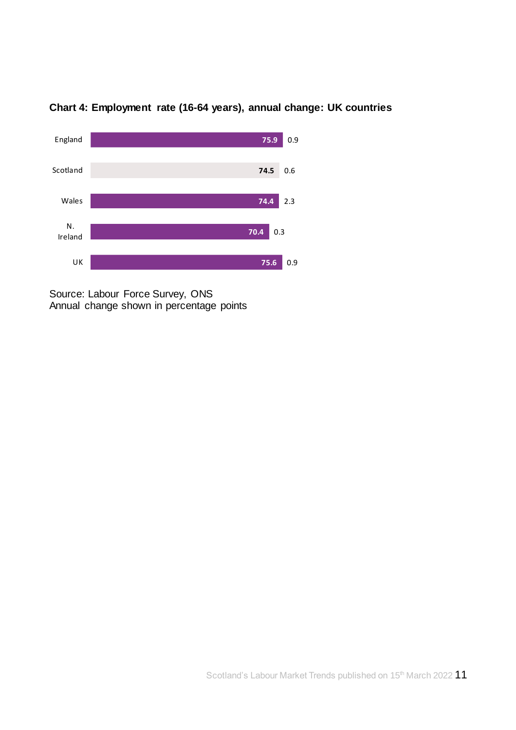

### **Chart 4: Employment rate (16-64 years), annual change: UK countries**

Source: Labour Force Survey, ONS Annual change shown in percentage points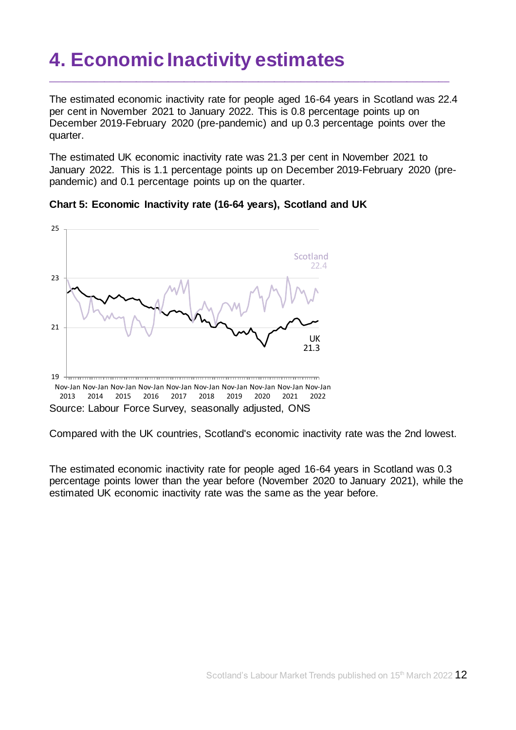## <span id="page-11-0"></span>**4. Economic Inactivity estimates**

The estimated economic inactivity rate for people aged 16-64 years in Scotland was 22.4 per cent in November 2021 to January 2022. This is 0.8 percentage points up on December 2019-February 2020 (pre-pandemic) and up 0.3 percentage points over the quarter.

\_\_\_\_\_\_\_\_\_\_\_\_\_\_\_\_\_\_\_\_\_\_\_\_\_\_\_\_\_\_\_\_\_\_\_\_\_\_\_\_\_\_\_\_\_\_\_\_\_\_\_\_\_\_\_\_\_\_\_\_\_\_\_\_\_\_\_\_\_\_\_\_\_\_\_

The estimated UK economic inactivity rate was 21.3 per cent in November 2021 to January 2022. This is 1.1 percentage points up on December 2019-February 2020 (prepandemic) and 0.1 percentage points up on the quarter.





Compared with the UK countries, Scotland's economic inactivity rate was the 2nd lowest.

The estimated economic inactivity rate for people aged 16-64 years in Scotland was 0.3 percentage points lower than the year before (November 2020 to January 2021), while the estimated UK economic inactivity rate was the same as the year before.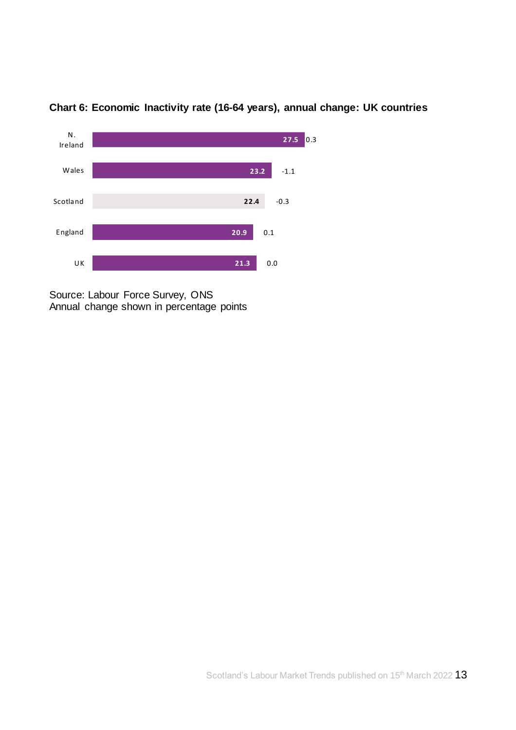

**Chart 6: Economic Inactivity rate (16-64 years), annual change: UK countries**

Source: Labour Force Survey, ONS Annual change shown in percentage points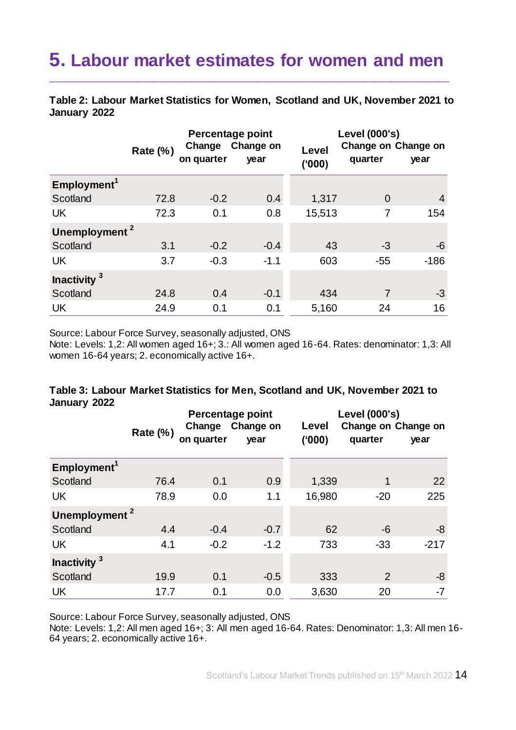## <span id="page-13-0"></span>**5. Labour market estimates for women and men**

\_\_\_\_\_\_\_\_\_\_\_\_\_\_\_\_\_\_\_\_\_\_\_\_\_\_\_\_\_\_\_\_\_\_\_\_\_\_\_\_\_\_\_\_\_\_\_\_\_\_\_\_\_\_\_\_\_\_\_\_\_\_\_\_\_\_\_\_\_\_\_\_\_\_\_

**Table 2: Labour Market Statistics for Women, Scotland and UK, November 2021 to January 2022**

|                           | <b>Rate (%)</b> | Change<br>on quarter | Percentage point<br>Change on<br>year | Level<br>(000) | Level (000's)<br>Change on Change on<br>quarter | year           |
|---------------------------|-----------------|----------------------|---------------------------------------|----------------|-------------------------------------------------|----------------|
| Employment <sup>1</sup>   |                 |                      |                                       |                |                                                 |                |
| Scotland                  | 72.8            | $-0.2$               | 0.4                                   | 1,317          | $\Omega$                                        | $\overline{4}$ |
| <b>UK</b>                 | 72.3            | 0.1                  | 0.8                                   | 15,513         | 7                                               | 154            |
| Unemployment <sup>2</sup> |                 |                      |                                       |                |                                                 |                |
| Scotland                  | 3.1             | $-0.2$               | $-0.4$                                | 43             | -3                                              | -6             |
| <b>UK</b>                 | 3.7             | $-0.3$               | $-1.1$                                | 603            | $-55$                                           | $-186$         |
| Inactivity <sup>3</sup>   |                 |                      |                                       |                |                                                 |                |
| Scotland                  | 24.8            | 0.4                  | $-0.1$                                | 434            | 7                                               | $-3$           |
| <b>UK</b>                 | 24.9            | 0.1                  | 0.1                                   | 5,160          | 24                                              | 16             |

Source: Labour Force Survey, seasonally adjusted, ONS

Note: Levels: 1,2: All women aged 16+; 3.: All women aged 16-64. Rates: denominator: 1,3: All women 16-64 years; 2. economically active 16+.

#### **Table 3: Labour Market Statistics for Men, Scotland and UK, November 2021 to January 2022**

|                           | <b>Rate (%)</b> | Change<br>on quarter | Percentage point<br>Change on<br>year | Level (000's)<br>Change on Change on<br>Level<br>(000)<br>quarter<br>year |       |        |  |
|---------------------------|-----------------|----------------------|---------------------------------------|---------------------------------------------------------------------------|-------|--------|--|
|                           |                 |                      |                                       |                                                                           |       |        |  |
| Employment <sup>1</sup>   |                 |                      |                                       |                                                                           |       |        |  |
| Scotland                  | 76.4            | 0.1                  | 0.9                                   | 1,339                                                                     | 1     | 22     |  |
| <b>UK</b>                 | 78.9            | 0.0                  | 1.1                                   | 16,980                                                                    | $-20$ | 225    |  |
| Unemployment <sup>2</sup> |                 |                      |                                       |                                                                           |       |        |  |
| Scotland                  | 4.4             | $-0.4$               | $-0.7$                                | 62                                                                        | -6    | -8     |  |
| <b>UK</b>                 | 4.1             | $-0.2$               | $-1.2$                                | 733                                                                       | $-33$ | $-217$ |  |
| Inactivity <sup>3</sup>   |                 |                      |                                       |                                                                           |       |        |  |
| Scotland                  | 19.9            | 0.1                  | $-0.5$                                | 333                                                                       | 2     | -8     |  |
| <b>UK</b>                 | 17.7            | 0.1                  | 0.0                                   | 3,630                                                                     | 20    | $-7$   |  |

Source: Labour Force Survey, seasonally adjusted, ONS

Note: Levels: 1,2: All men aged 16+; 3: All men aged 16-64. Rates: Denominator: 1,3: All men 16- 64 years; 2. economically active 16+.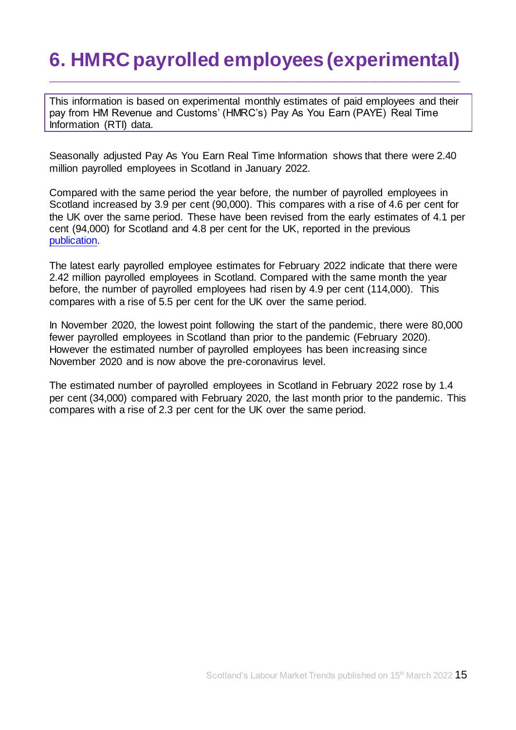# <span id="page-14-0"></span>**6. HMRC payrolled employees (experimental)**

\_\_\_\_\_\_\_\_\_\_\_\_\_\_\_\_\_\_\_\_\_\_\_\_\_\_\_\_\_\_\_\_\_\_\_\_\_\_\_\_\_\_\_\_\_\_\_\_\_\_\_\_\_\_\_\_\_\_\_\_\_\_\_\_\_\_\_\_\_\_\_\_\_\_\_\_\_

This information is based on experimental monthly estimates of paid employees and their pay from HM Revenue and Customs' (HMRC's) Pay As You Earn (PAYE) Real Time Information (RTI) data.

Seasonally adjusted Pay As You Earn Real Time Information shows that there were 2.40 million payrolled employees in Scotland in January 2022.

Compared with the same period the year before, the number of payrolled employees in Scotland increased by 3.9 per cent (90,000). This compares with a rise of 4.6 per cent for the UK over the same period. These have been revised from the early estimates of 4.1 per cent (94,000) for Scotland and 4.8 per cent for the UK, reported in the previous [publication.](https://www.gov.scot/publications/labour-market-trends-february-2022/)

The latest early payrolled employee estimates for February 2022 indicate that there were 2.42 million payrolled employees in Scotland. Compared with the same month the year before, the number of payrolled employees had risen by 4.9 per cent (114,000). This compares with a rise of 5.5 per cent for the UK over the same period.

In November 2020, the lowest point following the start of the pandemic, there were 80,000 fewer payrolled employees in Scotland than prior to the pandemic (February 2020). However the estimated number of payrolled employees has been increasing since November 2020 and is now above the pre-coronavirus level.

The estimated number of payrolled employees in Scotland in February 2022 rose by 1.4 per cent (34,000) compared with February 2020, the last month prior to the pandemic. This compares with a rise of 2.3 per cent for the UK over the same period.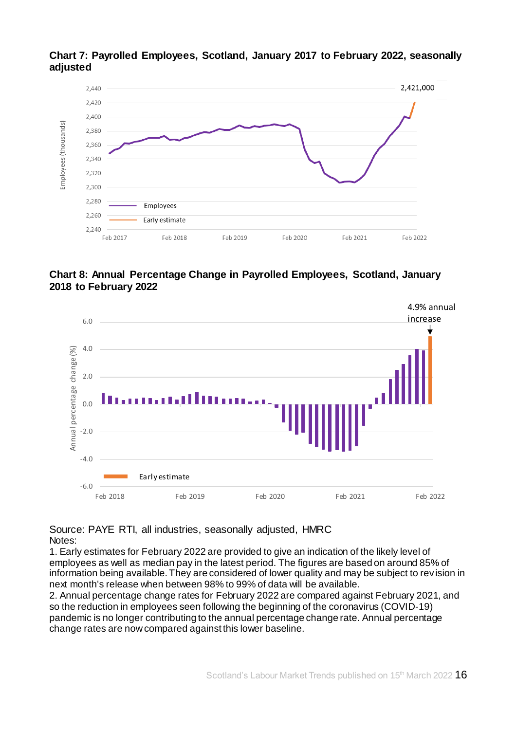

**Chart 7: Payrolled Employees, Scotland, January 2017 to February 2022, seasonally adjusted**

#### **Chart 8: Annual Percentage Change in Payrolled Employees, Scotland, January 2018 to February 2022**



Source: PAYE RTI, all industries, seasonally adjusted, HMRC Notes:

1. Early estimates for February 2022 are provided to give an indication of the likely level of employees as well as median pay in the latest period. The figures are based on around 85% of information being available. They are considered of lower quality and may be subject to rev ision in next month's release when between 98% to 99% of data will be available.

2. Annual percentage change rates for February 2022 are compared against February 2021, and so the reduction in employees seen following the beginning of the coronavirus (COVID-19) pandemic is no longer contributing to the annual percentage change rate. Annual percentage change rates are now compared against this lower baseline.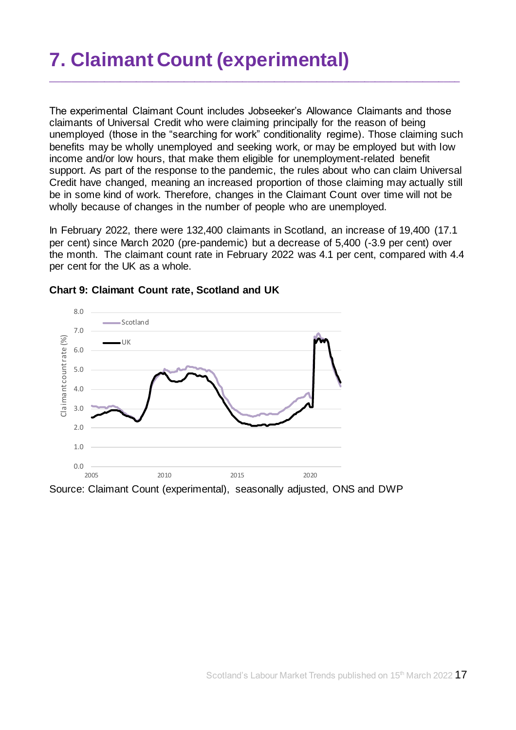# <span id="page-16-0"></span>**7. Claimant Count (experimental)**

The experimental Claimant Count includes Jobseeker's Allowance Claimants and those claimants of Universal Credit who were claiming principally for the reason of being unemployed (those in the "searching for work" conditionality regime). Those claiming such benefits may be wholly unemployed and seeking work, or may be employed but with low income and/or low hours, that make them eligible for unemployment-related benefit support. As part of the response to the pandemic, the rules about who can claim Universal Credit have changed, meaning an increased proportion of those claiming may actually still be in some kind of work. Therefore, changes in the Claimant Count over time will not be wholly because of changes in the number of people who are unemployed.

\_\_\_\_\_\_\_\_\_\_\_\_\_\_\_\_\_\_\_\_\_\_\_\_\_\_\_\_\_\_\_\_\_\_\_\_\_\_\_\_\_\_\_\_\_\_\_\_\_\_\_\_\_\_\_\_\_\_\_\_\_\_\_\_\_\_\_\_\_\_\_\_\_\_\_\_\_

In February 2022, there were 132,400 claimants in Scotland, an increase of 19,400 (17.1 per cent) since March 2020 (pre-pandemic) but a decrease of 5,400 (-3.9 per cent) over the month. The claimant count rate in February 2022 was 4.1 per cent, compared with 4.4 per cent for the UK as a whole.



#### **Chart 9: Claimant Count rate, Scotland and UK**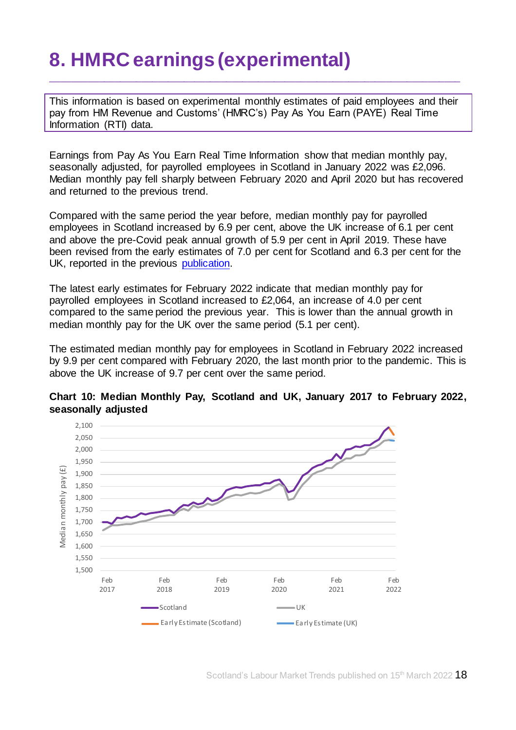# <span id="page-17-0"></span>**8. HMRC earnings (experimental)**

This information is based on experimental monthly estimates of paid employees and their pay from HM Revenue and Customs' (HMRC's) Pay As You Earn (PAYE) Real Time Information (RTI) data.

\_\_\_\_\_\_\_\_\_\_\_\_\_\_\_\_\_\_\_\_\_\_\_\_\_\_\_\_\_\_\_\_\_\_\_\_\_\_\_\_\_\_\_\_\_\_\_\_\_\_\_\_\_\_\_\_\_\_\_\_\_\_\_\_\_\_\_\_\_\_\_\_\_\_\_\_\_

Earnings from Pay As You Earn Real Time Information show that median monthly pay, seasonally adjusted, for payrolled employees in Scotland in January 2022 was £2,096. Median monthly pay fell sharply between February 2020 and April 2020 but has recovered and returned to the previous trend.

Compared with the same period the year before, median monthly pay for payrolled employees in Scotland increased by 6.9 per cent, above the UK increase of 6.1 per cent and above the pre-Covid peak annual growth of 5.9 per cent in April 2019. These have been revised from the early estimates of 7.0 per cent for Scotland and 6.3 per cent for the UK, reported in the previous [publication.](https://www.gov.scot/publications/labour-market-trends-february-2022/)

The latest early estimates for February 2022 indicate that median monthly pay for payrolled employees in Scotland increased to £2,064, an increase of 4.0 per cent compared to the same period the previous year. This is lower than the annual growth in median monthly pay for the UK over the same period (5.1 per cent).

The estimated median monthly pay for employees in Scotland in February 2022 increased by 9.9 per cent compared with February 2020, the last month prior to the pandemic. This is above the UK increase of 9.7 per cent over the same period.



#### **Chart 10: Median Monthly Pay, Scotland and UK, January 2017 to February 2022, seasonally adjusted**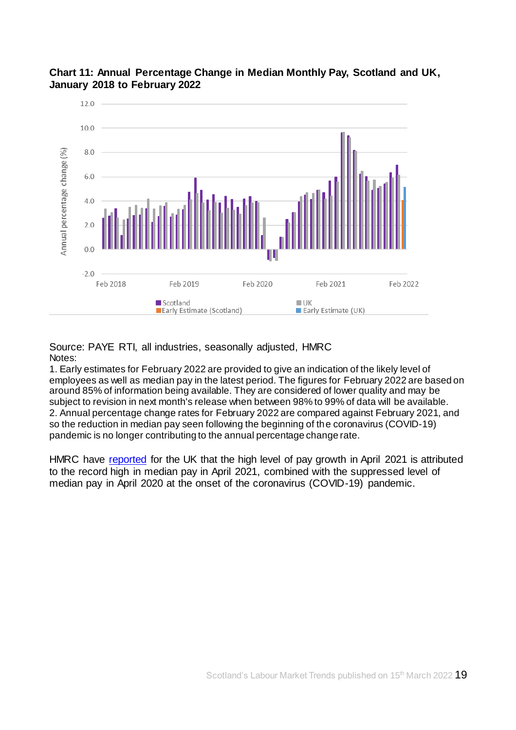



Source: PAYE RTI, all industries, seasonally adjusted, HMRC Notes:

1. Early estimates for February 2022 are provided to give an indication of the likely level of employees as well as median pay in the latest period. The figures for February 2022 are based on around 85% of information being available. They are considered of lower quality and may be subject to revision in next month's release when between 98% to 99% of data will be available. 2. Annual percentage change rates for February 2022 are compared against February 2021, and so the reduction in median pay seen following the beginning of the coronavirus (COVID-19) pandemic is no longer contributing to the annual percentage change rate.

HMRC have [reported](https://www.ons.gov.uk/employmentandlabourmarket/peopleinwork/earningsandworkinghours/bulletins/earningsandemploymentfrompayasyouearnrealtimeinformationuk/latest) for the UK that the high level of pay growth in April 2021 is attributed to the record high in median pay in April 2021, combined with the suppressed level of median pay in April 2020 at the onset of the coronavirus (COVID-19) pandemic.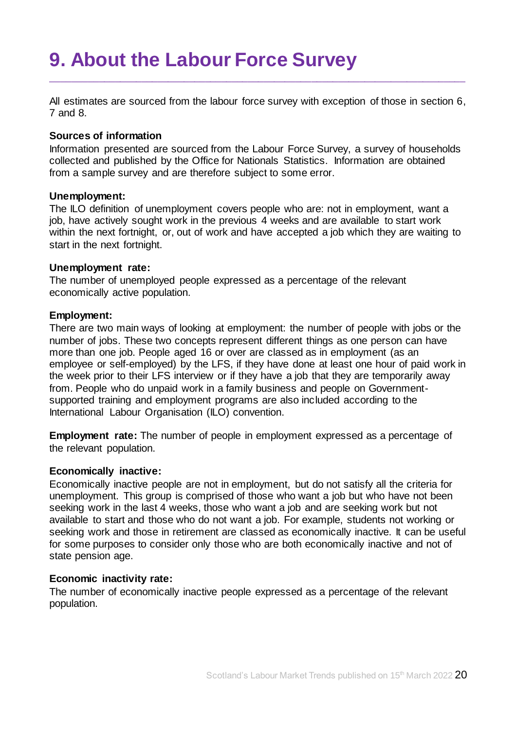## <span id="page-19-0"></span>**9. About the Labour Force Survey**

All estimates are sourced from the labour force survey with exception of those in section 6, 7 and 8.

\_\_\_\_\_\_\_\_\_\_\_\_\_\_\_\_\_\_\_\_\_\_\_\_\_\_\_\_\_\_\_\_\_\_\_\_\_\_\_\_\_\_\_\_\_\_\_\_\_\_\_\_\_\_\_\_\_\_\_\_\_\_\_\_\_\_\_\_\_\_\_\_\_\_\_\_\_\_

#### **Sources of information**

Information presented are sourced from the Labour Force Survey, a survey of households collected and published by the Office for Nationals Statistics. Information are obtained from a sample survey and are therefore subject to some error.

#### **Unemployment:**

The ILO definition of unemployment covers people who are: not in employment, want a job, have actively sought work in the previous 4 weeks and are available to start work within the next fortnight, or, out of work and have accepted a job which they are waiting to start in the next fortnight.

#### **Unemployment rate:**

The number of unemployed people expressed as a percentage of the relevant economically active population.

#### **Employment:**

There are two main ways of looking at employment: the number of people with jobs or the number of jobs. These two concepts represent different things as one person can have more than one job. People aged 16 or over are classed as in employment (as an employee or self-employed) by the LFS, if they have done at least one hour of paid work in the week prior to their LFS interview or if they have a job that they are temporarily away from. People who do unpaid work in a family business and people on Governmentsupported training and employment programs are also included according to the International Labour Organisation (ILO) convention.

**Employment rate:** The number of people in employment expressed as a percentage of the relevant population.

#### **Economically inactive:**

Economically inactive people are not in employment, but do not satisfy all the criteria for unemployment. This group is comprised of those who want a job but who have not been seeking work in the last 4 weeks, those who want a job and are seeking work but not available to start and those who do not want a job. For example, students not working or seeking work and those in retirement are classed as economically inactive. It can be useful for some purposes to consider only those who are both economically inactive and not of state pension age.

#### **Economic inactivity rate:**

The number of economically inactive people expressed as a percentage of the relevant population.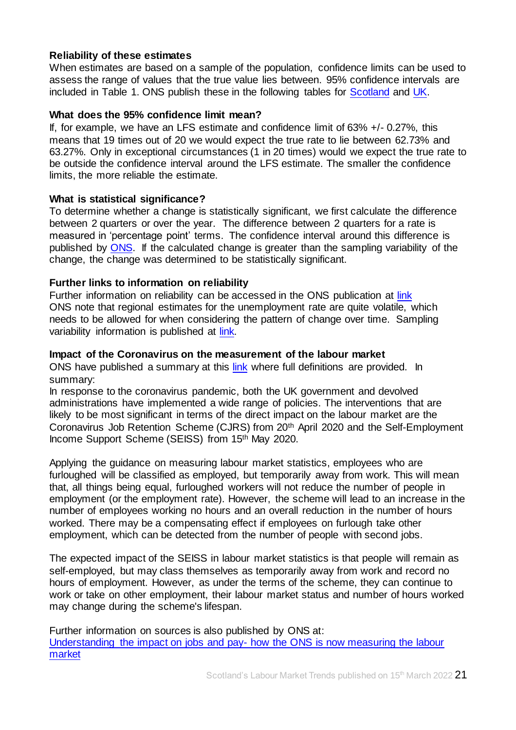#### **Reliability of these estimates**

When estimates are based on a sample of the population, confidence limits can be used to assess the range of values that the true value lies between. 95% confidence intervals are included in Table 1. ONS publish these in the following tables for [Scotland](https://www.ons.gov.uk/employmentandlabourmarket/peopleinwork/employmentandemployeetypes/datasets/samplingvariabilityandrevisionssummaryforregionallabourmarketstatisticss02) and [UK.](https://www.ons.gov.uk/employmentandlabourmarket/peopleinwork/employmentandemployeetypes/datasets/labourforcesurveysamplingvariabilitya11)

#### **What does the 95% confidence limit mean?**

If, for example, we have an LFS estimate and confidence limit of  $63\% +/-0.27\%$ , this means that 19 times out of 20 we would expect the true rate to lie between 62.73% and 63.27%. Only in exceptional circumstances (1 in 20 times) would we expect the true rate to be outside the confidence interval around the LFS estimate. The smaller the confidence limits, the more reliable the estimate.

#### **What is statistical significance?**

To determine whether a change is statistically significant, we first calculate the difference between 2 quarters or over the year. The difference between 2 quarters for a rate is measured in 'percentage point' terms. The confidence interval around this difference is published by [ONS.](https://www.ons.gov.uk/employmentandlabourmarket/peopleinwork/employmentandemployeetypes/datasets/samplingvariabilityandrevisionssummaryforregionallabourmarketstatisticss02) If the calculated change is greater than the sampling variability of the change, the change was determined to be statistically significant.

#### **Further links to information on reliability**

Further information on reliability can be accessed in the ONS publication at [link](https://www.ons.gov.uk/employmentandlabourmarket/peopleinwork/employmentandemployeetypes/bulletins/uklabourmarket/march2022) ONS note that regional estimates for the unemployment rate are quite volatile, which needs to be allowed for when considering the pattern of change over time. Sampling variability information is published at [link.](https://www.ons.gov.uk/employmentandlabourmarket/peopleinwork/employmentandemployeetypes/datasets/samplingvariabilityandrevisionssummaryforregionallabourmarketstatisticss02)

#### **Impact of the Coronavirus on the measurement of the labour market**

ONS have published a summary at this [link](https://www.ons.gov.uk/employmentandlabourmarket/peopleinwork/employmentandemployeetypes/articles/coronavirusandtheeffectsonuklabourmarketstatistics/2020-05-06#measuring-the-labour-markets/) where full definitions are provided. In summary:

In response to the coronavirus pandemic, both the UK government and devolved administrations have implemented a wide range of policies. The interventions that are likely to be most significant in terms of the direct impact on the labour market are the Coronavirus Job Retention Scheme (CJRS) from 20th April 2020 and the Self-Employment Income Support Scheme (SEISS) from 15th May 2020.

Applying the guidance on measuring labour market statistics, employees who are furloughed will be classified as employed, but temporarily away from work. This will mean that, all things being equal, furloughed workers will not reduce the number of people in employment (or the employment rate). However, the scheme will lead to an increase in the number of employees working no hours and an overall reduction in the number of hours worked. There may be a compensating effect if employees on furlough take other employment, which can be detected from the number of people with second jobs.

The expected impact of the SEISS in labour market statistics is that people will remain as self-employed, but may class themselves as temporarily away from work and record no hours of employment. However, as under the terms of the scheme, they can continue to work or take on other employment, their labour market status and number of hours worked may change during the scheme's lifespan.

Further information on sources is also published by ONS at: [Understanding the impact on jobs and pay-](https://blog.ons.gov.uk/2020/06/15/painting-the-clearest-picture-possible-how-the-ons-is-measuring-the-labour-market/7) how the ONS is now measuring the labour [market](https://blog.ons.gov.uk/2020/06/15/painting-the-clearest-picture-possible-how-the-ons-is-measuring-the-labour-market/7)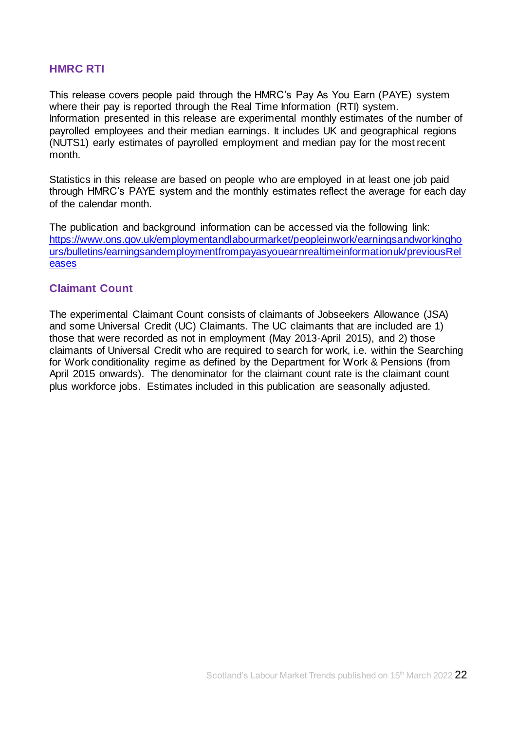#### **HMRC RTI**

This release covers people paid through the HMRC's Pay As You Earn (PAYE) system where their pay is reported through the Real Time Information (RTI) system. Information presented in this release are experimental monthly estimates of the number of payrolled employees and their median earnings. It includes UK and geographical regions (NUTS1) early estimates of payrolled employment and median pay for the most recent month.

Statistics in this release are based on people who are employed in at least one job paid through HMRC's PAYE system and the monthly estimates reflect the average for each day of the calendar month.

The publication and background information can be accessed via the following link: [https://www.ons.gov.uk/employmentandlabourmarket/peopleinwork/earningsandworkingho](https://www.ons.gov.uk/employmentandlabourmarket/peopleinwork/earningsandworkinghours/bulletins/earningsandemploymentfrompayasyouearnrealtimeinformationuk/previousReleases) [urs/bulletins/earningsandemploymentfrompayasyouearnrealtimeinformationuk/previousRel](https://www.ons.gov.uk/employmentandlabourmarket/peopleinwork/earningsandworkinghours/bulletins/earningsandemploymentfrompayasyouearnrealtimeinformationuk/previousReleases) [eases](https://www.ons.gov.uk/employmentandlabourmarket/peopleinwork/earningsandworkinghours/bulletins/earningsandemploymentfrompayasyouearnrealtimeinformationuk/previousReleases)

#### **Claimant Count**

The experimental Claimant Count consists of claimants of Jobseekers Allowance (JSA) and some Universal Credit (UC) Claimants. The UC claimants that are included are 1) those that were recorded as not in employment (May 2013-April 2015), and 2) those claimants of Universal Credit who are required to search for work, i.e. within the Searching for Work conditionality regime as defined by the Department for Work & Pensions (from April 2015 onwards). The denominator for the claimant count rate is the claimant count plus workforce jobs. Estimates included in this publication are seasonally adjusted.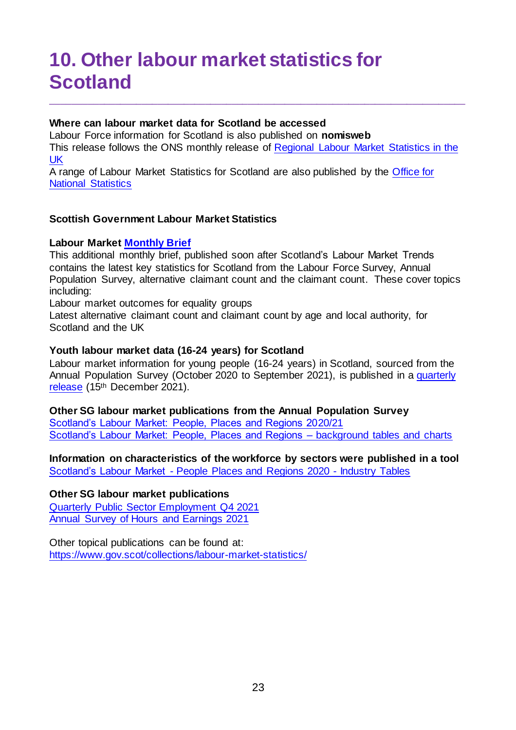## <span id="page-22-0"></span>**10. Other labour market statistics for Scotland**

#### **Where can labour market data for Scotland be accessed**

Labour Force information for Scotland is also published on **[nomisweb](https://www.nomisweb.co.uk/)** This release follows the ONS monthly release of [Regional Labour Market Statistics in the](https://www.ons.gov.uk/employmentandlabourmarket/peopleinwork/employmentandemployeetypes/bulletins/regionallabourmarket/previousReleases)  [UK](https://www.ons.gov.uk/employmentandlabourmarket/peopleinwork/employmentandemployeetypes/bulletins/regionallabourmarket/previousReleases) 

\_\_\_\_\_\_\_\_\_\_\_\_\_\_\_\_\_\_\_\_\_\_\_\_\_\_\_\_\_\_\_\_\_\_\_\_\_\_\_\_\_\_\_\_\_\_\_\_\_\_\_\_\_\_\_\_\_\_\_\_\_\_\_\_\_\_\_\_\_\_\_\_\_\_\_\_\_\_

A range of Labour Market Statistics for Scotland are also published by the [Office for](https://www.ons.gov.uk/)  [National Statistics](https://www.ons.gov.uk/)

#### **Scottish Government Labour Market Statistics**

#### **Labour Marke[t Monthly Brief](https://www.gov.scot/collections/labour-market-statistics/#monthlybriefing,slidepacksandlabourmarkettrends)**

This additional monthly brief, published soon after Scotland's Labour Market Trends contains the latest key statistics for Scotland from the Labour Force Survey, Annual Population Survey, alternative claimant count and the claimant count. These cover topics including:

Labour market outcomes for equality groups

Latest alternative claimant count and claimant count by age and local authority, for Scotland and the UK

#### **Youth labour market data (16-24 years) for Scotland**

Labour market information for young people (16-24 years) in Scotland, sourced from the Annual Population Survey (October 2020 to September 2021), is published in a [quarterly](https://www.gov.scot/collections/labour-market-statistics/#youngpeopleinthelabourmarket)  [release](https://www.gov.scot/collections/labour-market-statistics/#youngpeopleinthelabourmarket) (15<sup>th</sup> December 2021).

### **Other SG labour market publications from the Annual Population Survey**

[Scotland's Labour Market: People, Places and Regions 2020/21](https://www.gov.scot/publications/scotlands-labour-market-people-places-regions-statistics-annual-population-survey-2020-21/) [Scotland's Labour Market: People, Places and Regions –](https://www.gov.scot/publications/scotlands-labour-market-people-places-and-regions-background-tables-and-charts/) background tables and charts

**Information on characteristics of the workforce by sectors were published in a tool**  Scotland's Labour Market - [People Places and Regions 2020 -](https://www.gov.scot/publications/scotlands-labour-market-people-places-and-regions-background-tables-and-charts/) Industry Tables

#### **Other SG labour market publications**

[Quarterly Public Sector Employment Q4](https://www.gov.scot/collections/labour-market-statistics/#publicsectoremployment) 2021 [Annual Survey of Hours and Earnings 2021](https://www.gov.scot/publications/annual-survey-of-hours-and-earnings-2021/)

Other topical publications can be found at: <https://www.gov.scot/collections/labour-market-statistics/>